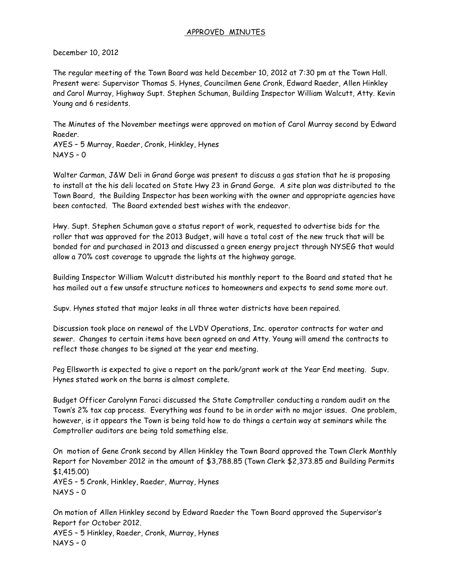### APPROVED MINUTES

December 10, 2012

The regular meeting of the Town Board was held December 10, 2012 at 7:30 pm at the Town Hall. Present were: Supervisor Thomas S. Hynes, Councilmen Gene Cronk, Edward Raeder, Allen Hinkley and Carol Murray, Highway Supt. Stephen Schuman, Building Inspector William Walcutt, Atty. Kevin Young and 6 residents.

The Minutes of the November meetings were approved on motion of Carol Murray second by Edward Raeder.

AYES – 5 Murray, Raeder, Cronk, Hinkley, Hynes NAYS – 0

Walter Carman, J&W Deli in Grand Gorge was present to discuss a gas station that he is proposing to install at the his deli located on State Hwy 23 in Grand Gorge. A site plan was distributed to the Town Board, the Building Inspector has been working with the owner and appropriate agencies have been contacted. The Board extended best wishes with the endeavor.

Hwy. Supt. Stephen Schuman gave a status report of work, requested to advertise bids for the roller that was approved for the 2013 Budget, will have a total cost of the new truck that will be bonded for and purchased in 2013 and discussed a green energy project through NYSEG that would allow a 70% cost coverage to upgrade the lights at the highway garage.

Building Inspector William Walcutt distributed his monthly report to the Board and stated that he has mailed out a few unsafe structure notices to homeowners and expects to send some more out.

Supv. Hynes stated that major leaks in all three water districts have been repaired.

Discussion took place on renewal of the LVDV Operations, Inc. operator contracts for water and sewer. Changes to certain items have been agreed on and Atty. Young will amend the contracts to reflect those changes to be signed at the year end meeting.

Peg Ellsworth is expected to give a report on the park/grant work at the Year End meeting. Supv. Hynes stated work on the barns is almost complete.

Budget Officer Carolynn Faraci discussed the State Comptroller conducting a random audit on the Town's 2% tax cap process. Everything was found to be in order with no major issues. One problem, however, is it appears the Town is being told how to do things a certain way at seminars while the Comptroller auditors are being told something else.

On motion of Gene Cronk second by Allen Hinkley the Town Board approved the Town Clerk Monthly Report for November 2012 in the amount of \$3,788.85 (Town Clerk \$2,373.85 and Building Permits \$1,415.00) AYES – 5 Cronk, Hinkley, Raeder, Murray, Hynes  $NAYS - 0$ 

On motion of Allen Hinkley second by Edward Raeder the Town Board approved the Supervisor's Report for October 2012. AYES – 5 Hinkley, Raeder, Cronk, Murray, Hynes  $NAYS - 0$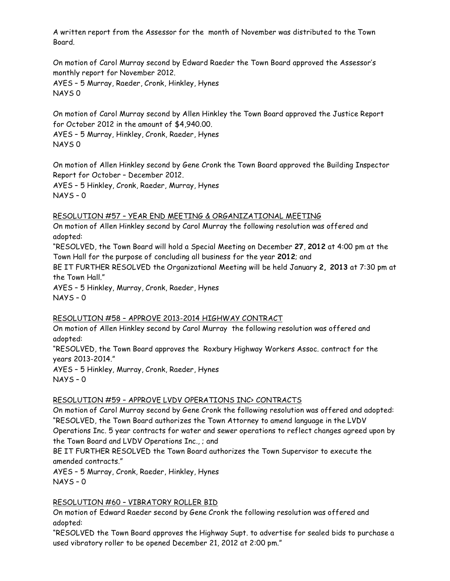A written report from the Assessor for the month of November was distributed to the Town Board.

On motion of Carol Murray second by Edward Raeder the Town Board approved the Assessor's monthly report for November 2012. AYES – 5 Murray, Raeder, Cronk, Hinkley, Hynes NAYS 0

On motion of Carol Murray second by Allen Hinkley the Town Board approved the Justice Report for October 2012 in the amount of \$4,940.00.

AYES – 5 Murray, Hinkley, Cronk, Raeder, Hynes NAYS 0

On motion of Allen Hinkley second by Gene Cronk the Town Board approved the Building Inspector Report for October – December 2012. AYES – 5 Hinkley, Cronk, Raeder, Murray, Hynes

NAYS – 0

### RESOLUTION #57 – YEAR END MEETING & ORGANIZATIONAL MEETING

On motion of Allen Hinkley second by Carol Murray the following resolution was offered and adopted:

"RESOLVED, the Town Board will hold a Special Meeting on December **27**, **2012** at 4:00 pm at the Town Hall for the purpose of concluding all business for the year **2012**; and

BE IT FURTHER RESOLVED the Organizational Meeting will be held January **2, 2013** at 7:30 pm at the Town Hall."

AYES – 5 Hinkley, Murray, Cronk, Raeder, Hynes NAYS – 0

# RESOLUTION #58 – APPROVE 2013-2014 HIGHWAY CONTRACT

On motion of Allen Hinkley second by Carol Murray the following resolution was offered and adopted:

"RESOLVED, the Town Board approves the Roxbury Highway Workers Assoc. contract for the years 2013-2014."

AYES – 5 Hinkley, Murray, Cronk, Raeder, Hynes NAYS – 0

# RESOLUTION #59 – APPROVE LVDV OPERATIONS INC> CONTRACTS

On motion of Carol Murray second by Gene Cronk the following resolution was offered and adopted: "RESOLVED, the Town Board authorizes the Town Attorney to amend language in the LVDV Operations Inc. 5 year contracts for water and sewer operations to reflect changes agreed upon by the Town Board and LVDV Operations Inc., ; and

BE IT FURTHER RESOLVED the Town Board authorizes the Town Supervisor to execute the amended contracts."

AYES – 5 Murray, Cronk, Raeder, Hinkley, Hynes NAYS – 0

# RESOLUTION #60 – VIBRATORY ROLLER BID

On motion of Edward Raeder second by Gene Cronk the following resolution was offered and adopted:

"RESOLVED the Town Board approves the Highway Supt. to advertise for sealed bids to purchase a used vibratory roller to be opened December 21, 2012 at 2:00 pm."